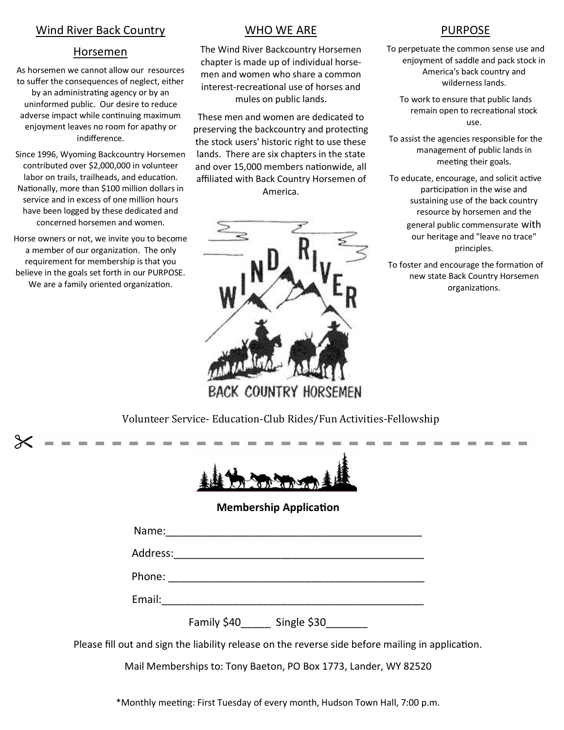# Wind River Back Country

### Horsemen

As horsemen we cannot allow our resources to suffer the consequences of neglect, either by an administrating agency or by an uninformed public. Our desire to reduce adverse impact while continuing maximum enjoyment leaves no room for apathy or indifference.

Since 1996, Wyoming Backcountry Horsemen contributed over \$2,000,000 in volunteer labor on trails, trailheads, and education. Nationally, more than \$100 million dollars in service and in excess of one million hours have been logged by these dedicated and concerned horsemen and women.

Horse owners or not, we invite you to become a member of our organization. The only requirement for membership is that you believe in the goals set forth in our PURPOSE. We are a family oriented organization.

## WHO WE ARE

The Wind River Backcountry Horsemen chapter is made up of individual horsemen and women who share a common interest-recreational use of horses and mules on public lands.

These men and women are dedicated to preserving the backcountry and protecting the stock users' historic right to use these lands. There are six chapters in the state and over 15,000 members nationwide, all affiliated with Back Country Horsemen of America.



**BACK COUNTRY HORSEMEN** 

# PURPOSE

To perpetuate the common sense use and enjoyment of saddle and pack stock in America's back country and wilderness lands.

To work to ensure that public lands remain open to recreational stock use.

To assist the agencies responsible for the management of public lands in meeting their goals.

To educate, encourage, and solicit active participation in the wise and sustaining use of the back country resource by horsemen and the general public commensurate with our heritage and "leave no trace" principles.

To foster and encourage the formation of new state Back Country Horsemen organizations.

Volunteer Service- Education-Club Rides/Fun Activities-Fellowship



### **Membership Application**

| Name:    |             |             |  |
|----------|-------------|-------------|--|
| Address: |             |             |  |
| Phone:   |             |             |  |
| Email:   |             |             |  |
|          | Family \$40 | Single \$30 |  |

Please fill out and sign the liability release on the reverse side before mailing in application.

Mail Memberships to: Tony Baeton, PO Box 1773, Lander, WY 82520

\*Monthly meeting: First Tuesday of every month, Hudson Town Hall, 7:00 p.m.